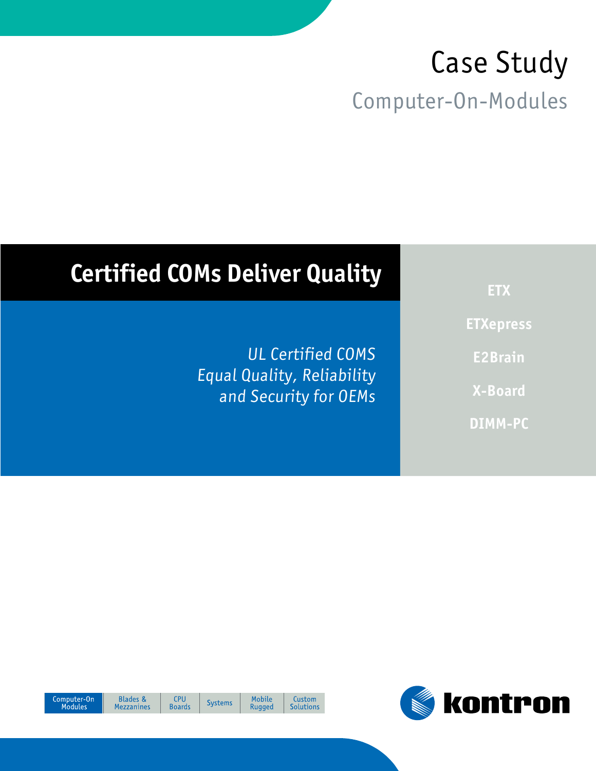# Case Study Computer-On-Modules

## **Certified COMs Deliver Quality**

UL Certified COMS Equal Quality, Reliability and Security for OEMs

**ETX ETXepress E2Brain X-Board DIMM-PC**



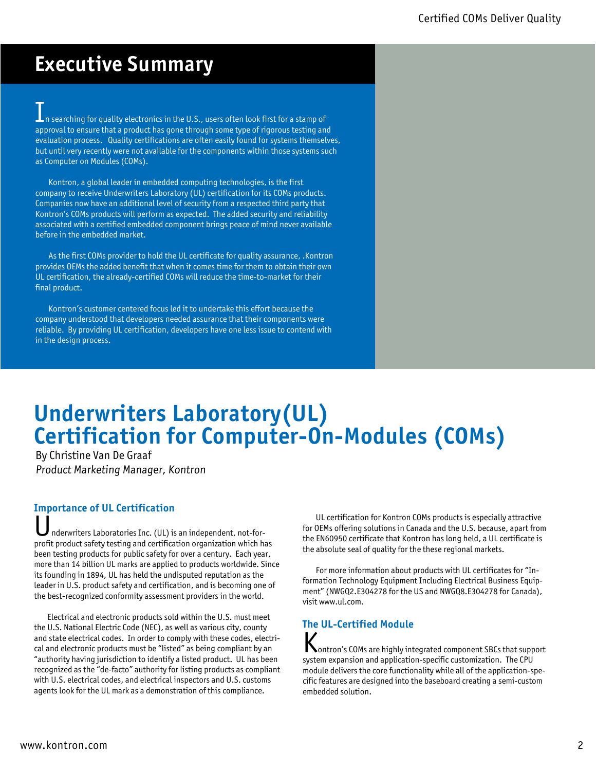## **Executive Summary**

In searching for quality electronics in the U.S., users often look first for a stamp of approval to ensure that a product has gone through some type of rigorous testing and evaluation process. Quality certifications are often easily found for systems themselves, but until very recently were not available for the components within those systems such as Computer on Modules (COMs).

Kontron, a global leader in embedded computing technologies, is the first company to receive Underwriters Laboratory (UL) certification for its COMs products. Companies now have an additional level of security from a respected third party that Kontron's COMs products will perform as expected. The added security and reliability associated with a certified embedded component brings peace of mind never available before in the embedded market.

As the first COMs provider to hold the UL certificate for quality assurance, .Kontron provides OEMs the added benefit that when it comes time for them to obtain their own UL certification, the already-certified COMs will reduce the time-to-market for their final product.

Kontron's customer centered focus led it to undertake this effort because the company understood that developers needed assurance that their components were reliable. By providing UL certification, developers have one less issue to contend with in the design process.

## **Underwriters Laboratory(UL) Certification for Computer-On-Modules (COMs)**

By Christine Van De Graaf Product Marketing Manager, Kontron

#### **Importance of UL Certification**

nderwriters Laboratories Inc. (UL) is an independent, not-forprofit product safety testing and certification organization which has been testing products for public safety for over a century. Each year, more than 14 billion UL marks are applied to products worldwide. Since its founding in 1894, UL has held the undisputed reputation as the leader in U.S. product safety and certification, and is becoming one of the best-recognized conformity assessment providers in the world.

Electrical and electronic products sold within the U.S. must meet the U.S. National Electric Code (NEC), as well as various city, county and state electrical codes. In order to comply with these codes, electrical and electronic products must be "listed" as being compliant by an "authority having jurisdiction to identify a listed product. UL has been recognized as the "de-facto" authority for listing products as compliant with U.S. electrical codes, and electrical inspectors and U.S. customs agents look for the UL mark as a demonstration of this compliance.

UL certification for Kontron COMs products is especially attractive for OEMs offering solutions in Canada and the U.S. because, apart from the EN60950 certificate that Kontron has long held, a UL certificate is the absolute seal of quality for the these regional markets.

For more information about products with UL certificates for "Information Technology Equipment Including Electrical Business Equipment" (NWGQ2.E304278 for the US and NWGQ8.E304278 for Canada), visit www.ul.com.

## **The UL-Certified Module**

Kontron's COMs are highly integrated component SBCs that support system expansion and application-specific customization. The CPU module delivers the core functionality while all of the application-specific features are designed into the baseboard creating a semi-custom embedded solution.